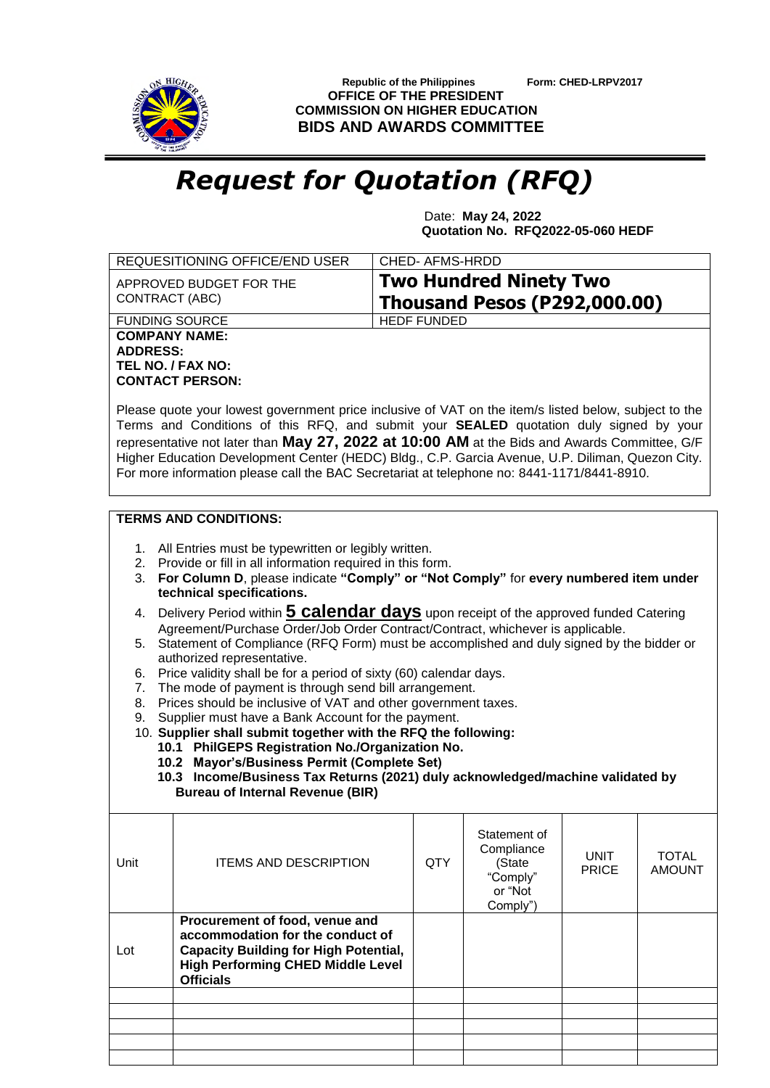

 **Republic of the Philippines Form: CHED-LRPV2017 OFFICE OF THE PRESIDENT COMMISSION ON HIGHER EDUCATION BIDS AND AWARDS COMMITTEE**

## *Request for Quotation (RFQ)*

 Date: **May 24, 2022 Quotation No. RFQ2022-05-060 HEDF**

|                                                                                                                           | REQUESITIONING OFFICE/END USER                                                                                               | <b>CHED-AFMS-HRDD</b> |                     |                             |                               |  |  |
|---------------------------------------------------------------------------------------------------------------------------|------------------------------------------------------------------------------------------------------------------------------|-----------------------|---------------------|-----------------------------|-------------------------------|--|--|
|                                                                                                                           | <b>Two Hundred Ninety Two</b><br>APPROVED BUDGET FOR THE<br>CONTRACT (ABC)                                                   |                       |                     |                             |                               |  |  |
|                                                                                                                           | <b>Thousand Pesos (P292,000.00)</b><br><b>FUNDING SOURCE</b>                                                                 |                       |                     |                             |                               |  |  |
|                                                                                                                           | <b>COMPANY NAME:</b>                                                                                                         | <b>HEDF FUNDED</b>    |                     |                             |                               |  |  |
| <b>ADDRESS:</b>                                                                                                           |                                                                                                                              |                       |                     |                             |                               |  |  |
|                                                                                                                           | TEL NO. / FAX NO:                                                                                                            |                       |                     |                             |                               |  |  |
|                                                                                                                           | <b>CONTACT PERSON:</b>                                                                                                       |                       |                     |                             |                               |  |  |
|                                                                                                                           | Please quote your lowest government price inclusive of VAT on the item/s listed below, subject to the                        |                       |                     |                             |                               |  |  |
|                                                                                                                           | Terms and Conditions of this RFQ, and submit your SEALED quotation duly signed by your                                       |                       |                     |                             |                               |  |  |
|                                                                                                                           | representative not later than May 27, 2022 at 10:00 AM at the Bids and Awards Committee, G/F                                 |                       |                     |                             |                               |  |  |
|                                                                                                                           | Higher Education Development Center (HEDC) Bldg., C.P. Garcia Avenue, U.P. Diliman, Quezon City.                             |                       |                     |                             |                               |  |  |
|                                                                                                                           | For more information please call the BAC Secretariat at telephone no: 8441-1171/8441-8910.                                   |                       |                     |                             |                               |  |  |
|                                                                                                                           |                                                                                                                              |                       |                     |                             |                               |  |  |
|                                                                                                                           | <b>TERMS AND CONDITIONS:</b>                                                                                                 |                       |                     |                             |                               |  |  |
|                                                                                                                           | 1. All Entries must be typewritten or legibly written.                                                                       |                       |                     |                             |                               |  |  |
|                                                                                                                           | 2. Provide or fill in all information required in this form.                                                                 |                       |                     |                             |                               |  |  |
| 3.                                                                                                                        | For Column D, please indicate "Comply" or "Not Comply" for every numbered item under                                         |                       |                     |                             |                               |  |  |
|                                                                                                                           | technical specifications.                                                                                                    |                       |                     |                             |                               |  |  |
| 4.                                                                                                                        | Delivery Period within <b>5 calendar days</b> upon receipt of the approved funded Catering                                   |                       |                     |                             |                               |  |  |
|                                                                                                                           | Agreement/Purchase Order/Job Order Contract/Contract, whichever is applicable.                                               |                       |                     |                             |                               |  |  |
|                                                                                                                           | Statement of Compliance (RFQ Form) must be accomplished and duly signed by the bidder or<br>5.<br>authorized representative. |                       |                     |                             |                               |  |  |
| Price validity shall be for a period of sixty (60) calendar days.<br>6.                                                   |                                                                                                                              |                       |                     |                             |                               |  |  |
| The mode of payment is through send bill arrangement.<br>7.                                                               |                                                                                                                              |                       |                     |                             |                               |  |  |
| Prices should be inclusive of VAT and other government taxes.<br>8.<br>Supplier must have a Bank Account for the payment. |                                                                                                                              |                       |                     |                             |                               |  |  |
| 9.                                                                                                                        | 10. Supplier shall submit together with the RFQ the following:                                                               |                       |                     |                             |                               |  |  |
|                                                                                                                           | 10.1 PhilGEPS Registration No./Organization No.                                                                              |                       |                     |                             |                               |  |  |
|                                                                                                                           | 10.2 Mayor's/Business Permit (Complete Set)                                                                                  |                       |                     |                             |                               |  |  |
|                                                                                                                           | 10.3 Income/Business Tax Returns (2021) duly acknowledged/machine validated by                                               |                       |                     |                             |                               |  |  |
|                                                                                                                           | <b>Bureau of Internal Revenue (BIR)</b>                                                                                      |                       |                     |                             |                               |  |  |
|                                                                                                                           |                                                                                                                              |                       | Statement of        |                             |                               |  |  |
|                                                                                                                           |                                                                                                                              |                       | Compliance          |                             |                               |  |  |
| Unit                                                                                                                      | <b>ITEMS AND DESCRIPTION</b>                                                                                                 | <b>QTY</b>            | (State              | <b>UNIT</b><br><b>PRICE</b> | <b>TOTAL</b><br><b>AMOUNT</b> |  |  |
|                                                                                                                           |                                                                                                                              |                       | "Comply"<br>or "Not |                             |                               |  |  |
|                                                                                                                           |                                                                                                                              |                       | Comply")            |                             |                               |  |  |
|                                                                                                                           | Procurement of food, venue and                                                                                               |                       |                     |                             |                               |  |  |
|                                                                                                                           | accommodation for the conduct of                                                                                             |                       |                     |                             |                               |  |  |
| Lot                                                                                                                       | <b>Capacity Building for High Potential,</b><br><b>High Performing CHED Middle Level</b>                                     |                       |                     |                             |                               |  |  |
|                                                                                                                           | <b>Officials</b>                                                                                                             |                       |                     |                             |                               |  |  |
|                                                                                                                           |                                                                                                                              |                       |                     |                             |                               |  |  |
|                                                                                                                           |                                                                                                                              |                       |                     |                             |                               |  |  |
|                                                                                                                           |                                                                                                                              |                       |                     |                             |                               |  |  |
|                                                                                                                           |                                                                                                                              |                       |                     |                             |                               |  |  |
|                                                                                                                           |                                                                                                                              |                       |                     |                             |                               |  |  |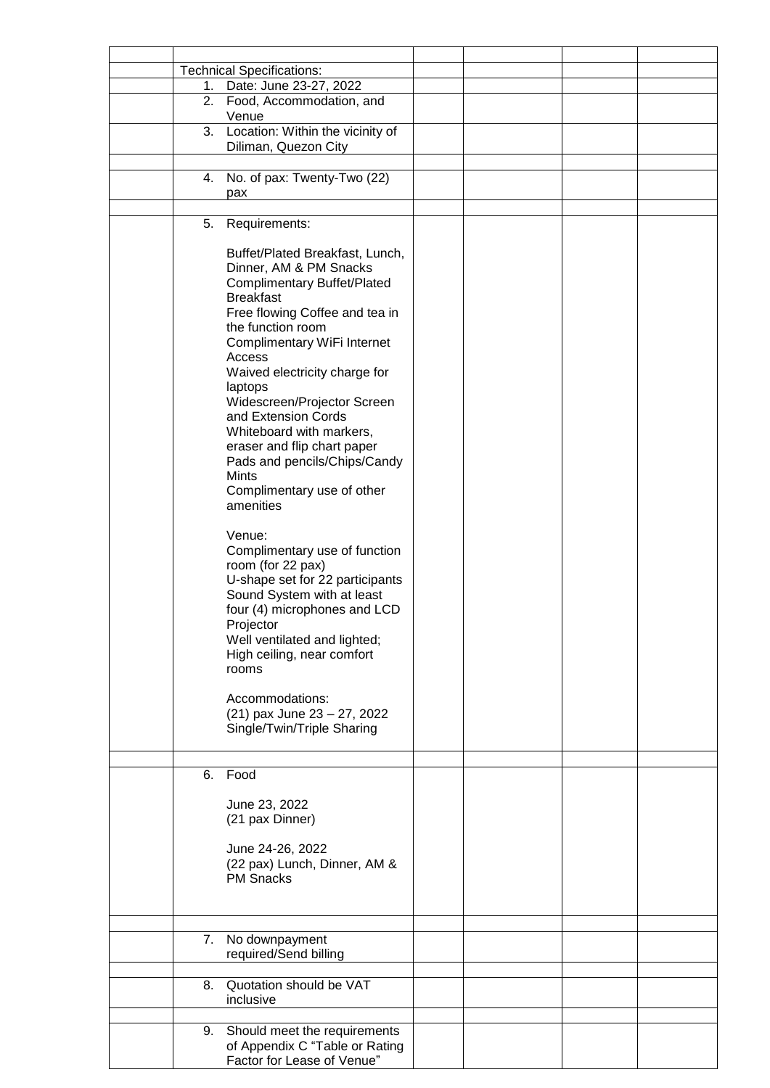|    | <b>Technical Specifications:</b>   |  |  |
|----|------------------------------------|--|--|
| 1. | Date: June 23-27, 2022             |  |  |
| 2. | Food, Accommodation, and           |  |  |
|    | Venue                              |  |  |
| 3. | Location: Within the vicinity of   |  |  |
|    | Diliman, Quezon City               |  |  |
|    |                                    |  |  |
|    |                                    |  |  |
| 4. | No. of pax: Twenty-Two (22)        |  |  |
|    | pax                                |  |  |
|    |                                    |  |  |
| 5. | Requirements:                      |  |  |
|    |                                    |  |  |
|    | Buffet/Plated Breakfast, Lunch,    |  |  |
|    | Dinner, AM & PM Snacks             |  |  |
|    |                                    |  |  |
|    | <b>Complimentary Buffet/Plated</b> |  |  |
|    | <b>Breakfast</b>                   |  |  |
|    | Free flowing Coffee and tea in     |  |  |
|    | the function room                  |  |  |
|    | Complimentary WiFi Internet        |  |  |
|    | Access                             |  |  |
|    | Waived electricity charge for      |  |  |
|    | laptops                            |  |  |
|    | Widescreen/Projector Screen        |  |  |
|    | and Extension Cords                |  |  |
|    |                                    |  |  |
|    | Whiteboard with markers,           |  |  |
|    | eraser and flip chart paper        |  |  |
|    | Pads and pencils/Chips/Candy       |  |  |
|    | Mints                              |  |  |
|    | Complimentary use of other         |  |  |
|    | amenities                          |  |  |
|    |                                    |  |  |
|    | Venue:                             |  |  |
|    |                                    |  |  |
|    | Complimentary use of function      |  |  |
|    | room (for 22 pax)                  |  |  |
|    | U-shape set for 22 participants    |  |  |
|    | Sound System with at least         |  |  |
|    | four (4) microphones and LCD       |  |  |
|    | Projector                          |  |  |
|    | Well ventilated and lighted;       |  |  |
|    | High ceiling, near comfort         |  |  |
|    | rooms                              |  |  |
|    |                                    |  |  |
|    |                                    |  |  |
|    | Accommodations:                    |  |  |
|    | (21) pax June 23 - 27, 2022        |  |  |
|    | Single/Twin/Triple Sharing         |  |  |
|    |                                    |  |  |
|    |                                    |  |  |
| 6. | Food                               |  |  |
|    |                                    |  |  |
|    |                                    |  |  |
|    | June 23, 2022                      |  |  |
|    | (21 pax Dinner)                    |  |  |
|    |                                    |  |  |
|    | June 24-26, 2022                   |  |  |
|    | (22 pax) Lunch, Dinner, AM &       |  |  |
|    | <b>PM Snacks</b>                   |  |  |
|    |                                    |  |  |
|    |                                    |  |  |
|    |                                    |  |  |
|    |                                    |  |  |
| 7. | No downpayment                     |  |  |
|    | required/Send billing              |  |  |
|    |                                    |  |  |
| 8. | Quotation should be VAT            |  |  |
|    | inclusive                          |  |  |
|    |                                    |  |  |
| 9. | Should meet the requirements       |  |  |
|    |                                    |  |  |
|    | of Appendix C "Table or Rating     |  |  |
|    | Factor for Lease of Venue"         |  |  |